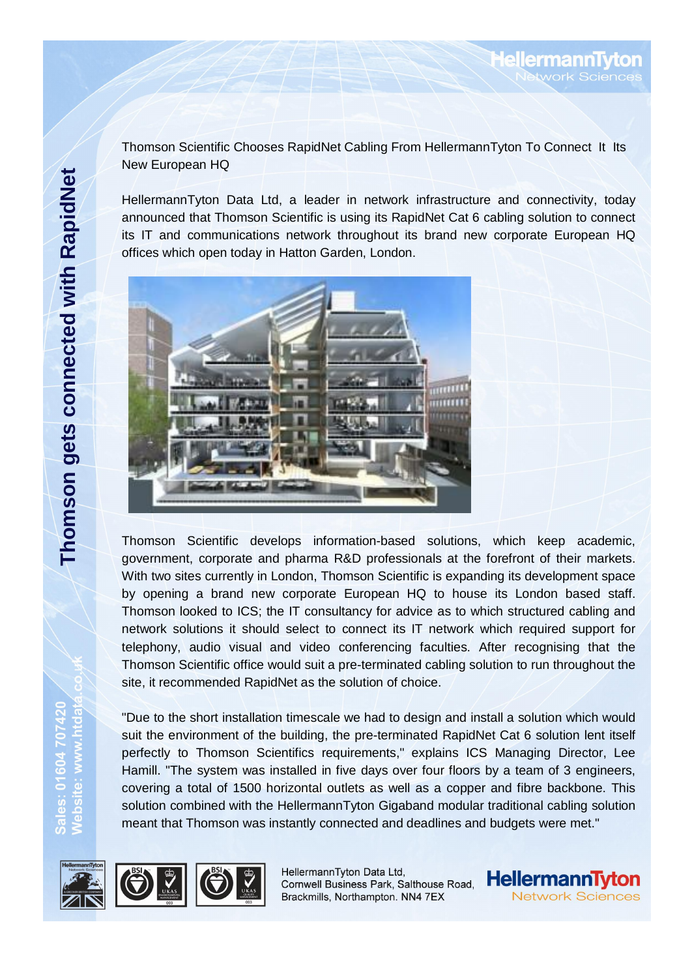Thomson Scientific Chooses RapidNet Cabling From HellermannTyton To Connect It Its New European HQ

HellermannTyton Data Ltd, a leader in network infrastructure and connectivity, today announced that Thomson Scientific is using its RapidNet Cat 6 cabling solution to connect its IT and communications network throughout its brand new corporate European HQ offices which open today in Hatton Garden, London.



Thomson Scientific develops information-based solutions, which keep academic, government, corporate and pharma R&D professionals at the forefront of their markets. With two sites currently in London, Thomson Scientific is expanding its development space by opening a brand new corporate European HQ to house its London based staff. Thomson looked to ICS; the IT consultancy for advice as to which structured cabling and network solutions it should select to connect its IT network which required support for telephony, audio visual and video conferencing faculties. After recognising that the Thomson Scientific office would suit a pre-terminated cabling solution to run throughout the site, it recommended RapidNet as the solution of choice.

"Due to the short installation timescale we had to design and install a solution which would suit the environment of the building, the pre-terminated RapidNet Cat 6 solution lent itself perfectly to Thomson Scientifics requirements," explains ICS Managing Director, Lee Hamill. "The system was installed in five days over four floors by a team of 3 engineers, covering a total of 1500 horizontal outlets as well as a copper and fibre backbone. This solution combined with the HellermannTyton Gigaband modular traditional cabling solution meant that Thomson was instantly connected and deadlines and budgets were met."



Sales: 01604 70742<br>Website: www.htdaj



HellermannTyton Data Ltd, Cornwell Business Park, Salthouse Road, Brackmills, Northampton. NN4 7EX



**HellermannTyton** Network Sciences